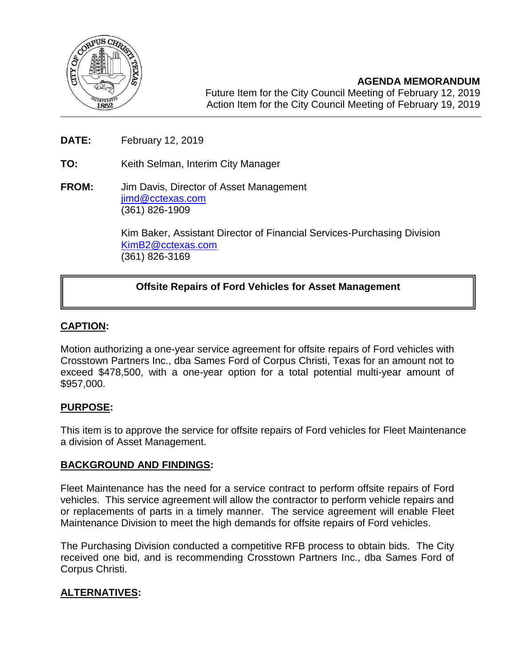

**AGENDA MEMORANDUM** Future Item for the City Council Meeting of February 12, 2019 Action Item for the City Council Meeting of February 19, 2019

- **DATE:** February 12, 2019
- **TO:** Keith Selman, Interim City Manager
- **FROM:** Jim Davis, Director of Asset Management [jimd@cctexas.com](mailto:jimd@cctexas.com) (361) 826-1909

Kim Baker, Assistant Director of Financial Services-Purchasing Division [KimB2@cctexas.com](mailto:KimB2@cctexas.com) (361) 826-3169

# **Offsite Repairs of Ford Vehicles for Asset Management**

## **CAPTION:**

٦

Motion authorizing a one-year service agreement for offsite repairs of Ford vehicles with Crosstown Partners Inc., dba Sames Ford of Corpus Christi, Texas for an amount not to exceed \$478,500, with a one-year option for a total potential multi-year amount of \$957,000.

## **PURPOSE:**

This item is to approve the service for offsite repairs of Ford vehicles for Fleet Maintenance a division of Asset Management.

## **BACKGROUND AND FINDINGS:**

Fleet Maintenance has the need for a service contract to perform offsite repairs of Ford vehicles. This service agreement will allow the contractor to perform vehicle repairs and or replacements of parts in a timely manner. The service agreement will enable Fleet Maintenance Division to meet the high demands for offsite repairs of Ford vehicles.

The Purchasing Division conducted a competitive RFB process to obtain bids. The City received one bid, and is recommending Crosstown Partners Inc., dba Sames Ford of Corpus Christi.

# **ALTERNATIVES:**